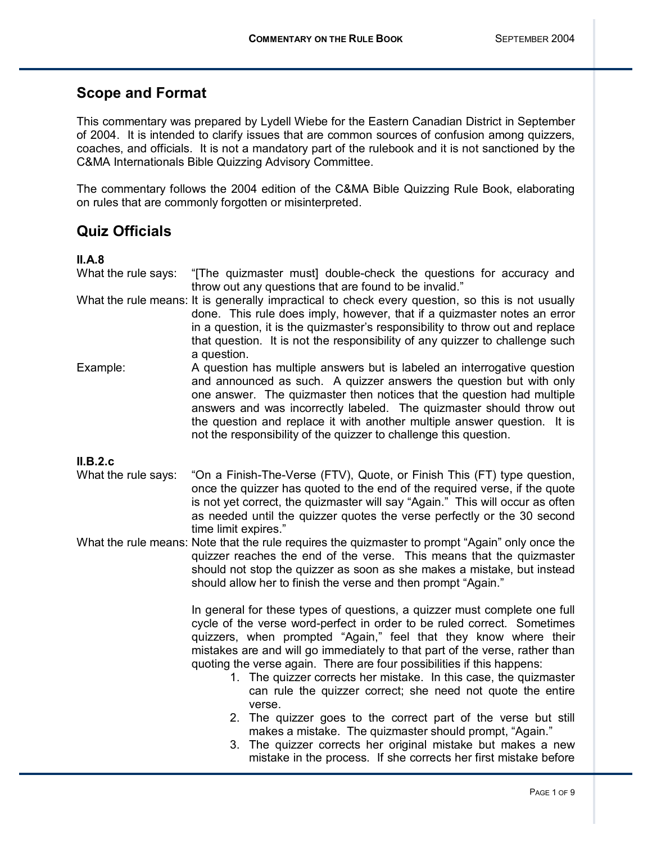# **Scope and Format**

This commentary was prepared by Lydell Wiebe for the Eastern Canadian District in September of 2004. It is intended to clarify issues that are common sources of confusion among quizzers, coaches, and officials. It is not a mandatory part of the rulebook and it is not sanctioned by the C&MA Internationals Bible Quizzing Advisory Committee.

The commentary follows the 2004 edition of the C&MA Bible Quizzing Rule Book, elaborating on rules that are commonly forgotten or misinterpreted.

# **Quiz Officials**

## **II.A.8**

What the rule says: "[The quizmaster must] double-check the questions for accuracy and throw out any questions that are found to be invalid."

- What the rule means: It is generally impractical to check every question, so this is not usually done. This rule does imply, however, that if a quizmaster notes an error in a question, it is the quizmaster's responsibility to throw out and replace that question. It is not the responsibility of any quizzer to challenge such a question.
- Example: A question has multiple answers but is labeled an interrogative question and announced as such. A quizzer answers the question but with only one answer. The quizmaster then notices that the question had multiple answers and was incorrectly labeled. The quizmaster should throw out the question and replace it with another multiple answer question. It is not the responsibility of the quizzer to challenge this question.

## **II.B.2.c**

- What the rule says: "On a Finish-The-Verse (FTV), Quote, or Finish This (FT) type question, once the quizzer has quoted to the end of the required verse, if the quote is not yet correct, the quizmaster will say "Again." This will occur as often as needed until the quizzer quotes the verse perfectly or the 30 second time limit expires."
- What the rule means: Note that the rule requires the quizmaster to prompt "Again" only once the quizzer reaches the end of the verse. This means that the quizmaster should not stop the quizzer as soon as she makes a mistake, but instead should allow her to finish the verse and then prompt "Again."

 In general for these types of questions, a quizzer must complete one full cycle of the verse word-perfect in order to be ruled correct. Sometimes quizzers, when prompted "Again," feel that they know where their mistakes are and will go immediately to that part of the verse, rather than quoting the verse again. There are four possibilities if this happens:

- 1. The quizzer corrects her mistake. In this case, the quizmaster can rule the quizzer correct; she need not quote the entire verse.
- 2. The quizzer goes to the correct part of the verse but still makes a mistake. The quizmaster should prompt, "Again."
- 3. The quizzer corrects her original mistake but makes a new mistake in the process. If she corrects her first mistake before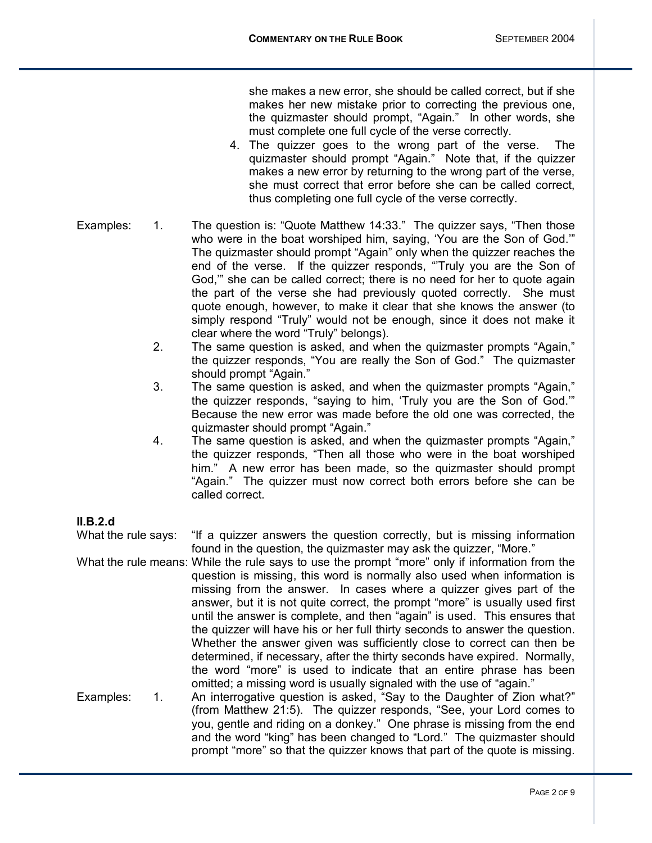she makes a new error, she should be called correct, but if she makes her new mistake prior to correcting the previous one, the quizmaster should prompt, "Again." In other words, she must complete one full cycle of the verse correctly.

- 4. The quizzer goes to the wrong part of the verse. The quizmaster should prompt "Again." Note that, if the quizzer makes a new error by returning to the wrong part of the verse, she must correct that error before she can be called correct, thus completing one full cycle of the verse correctly.
- Examples: 1. The question is: "Quote Matthew 14:33." The quizzer says, "Then those who were in the boat worshiped him, saying, 'You are the Son of God." The quizmaster should prompt "Again" only when the quizzer reaches the end of the verse. If the quizzer responds, "Truly you are the Son of God," she can be called correct; there is no need for her to quote again the part of the verse she had previously quoted correctly. She must quote enough, however, to make it clear that she knows the answer (to simply respond "Truly" would not be enough, since it does not make it clear where the word "Truly" belongs).
	- 2. The same question is asked, and when the quizmaster prompts "Again," the quizzer responds, "You are really the Son of God." The quizmaster should prompt "Again."
	- 3. The same question is asked, and when the quizmaster prompts "Again," the quizzer responds, "saying to him, 'Truly you are the Son of God." Because the new error was made before the old one was corrected, the quizmaster should prompt "Again."
	- 4. The same question is asked, and when the quizmaster prompts "Again." the quizzer responds, "Then all those who were in the boat worshiped him." A new error has been made, so the quizmaster should prompt "Again." The quizzer must now correct both errors before she can be called correct.

## **II.B.2.d**

What the rule says: "If a quizzer answers the question correctly, but is missing information found in the question, the quizmaster may ask the quizzer, "More."

What the rule means: While the rule says to use the prompt "more" only if information from the question is missing, this word is normally also used when information is missing from the answer. In cases where a quizzer gives part of the answer, but it is not quite correct, the prompt "more" is usually used first until the answer is complete, and then "again" is used. This ensures that the quizzer will have his or her full thirty seconds to answer the question. Whether the answer given was sufficiently close to correct can then be determined, if necessary, after the thirty seconds have expired. Normally, the word "more" is used to indicate that an entire phrase has been omitted; a missing word is usually signaled with the use of "again."

Examples: 1. An interrogative question is asked, "Say to the Daughter of Zion what?" (from Matthew 21:5). The quizzer responds, "See, your Lord comes to you, gentle and riding on a donkey." One phrase is missing from the end and the word "king" has been changed to "Lord." The quizmaster should prompt "more" so that the quizzer knows that part of the quote is missing.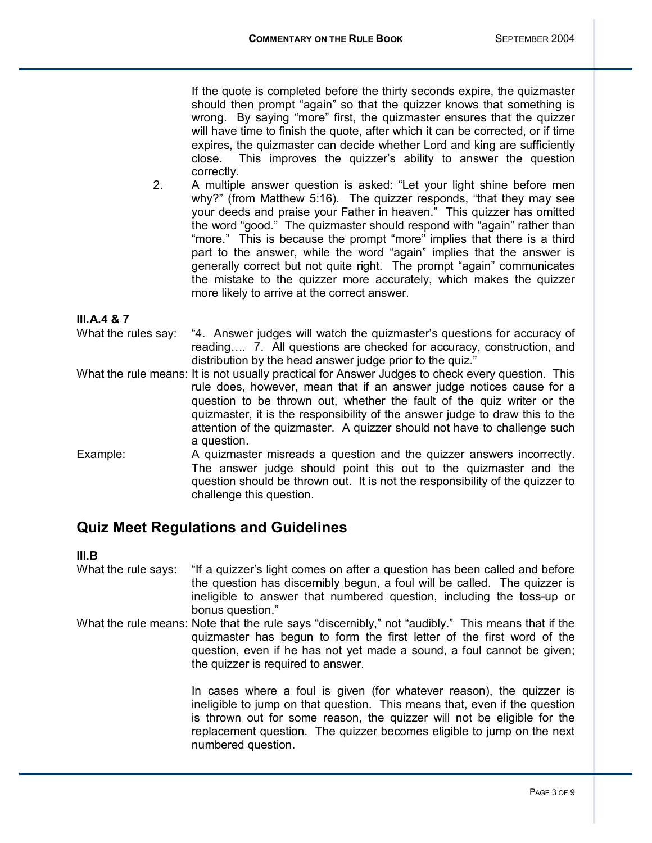If the quote is completed before the thirty seconds expire, the quizmaster should then prompt "again" so that the quizzer knows that something is wrong. By saying "more" first, the quizmaster ensures that the quizzer will have time to finish the quote, after which it can be corrected, or if time expires, the quizmaster can decide whether Lord and king are sufficiently close. This improves the quizzerís ability to answer the question correctly.

2. A multiple answer question is asked: "Let your light shine before men why?" (from Matthew 5:16). The quizzer responds, "that they may see your deeds and praise your Father in heaven." This quizzer has omitted the word "good." The quizmaster should respond with "again" rather than "more." This is because the prompt "more" implies that there is a third part to the answer, while the word "again" implies that the answer is generally correct but not quite right. The prompt "again" communicates the mistake to the quizzer more accurately, which makes the quizzer more likely to arrive at the correct answer.

## **III.A.4 & 7**

- What the rules say: "4. Answer judges will watch the quizmaster's questions for accuracy of reading.... 7. All questions are checked for accuracy, construction, and distribution by the head answer judge prior to the quiz."
- What the rule means: It is not usually practical for Answer Judges to check every question. This rule does, however, mean that if an answer judge notices cause for a question to be thrown out, whether the fault of the quiz writer or the quizmaster, it is the responsibility of the answer judge to draw this to the attention of the quizmaster. A quizzer should not have to challenge such a question.
- Example: A quizmaster misreads a question and the quizzer answers incorrectly. The answer judge should point this out to the quizmaster and the question should be thrown out. It is not the responsibility of the quizzer to challenge this question.

## **Quiz Meet Regulations and Guidelines**

### **III.B**

- What the rule says: "If a quizzer's light comes on after a question has been called and before the question has discernibly begun, a foul will be called. The quizzer is ineligible to answer that numbered question, including the toss-up or bonus question."
- What the rule means: Note that the rule says "discernibly," not "audibly." This means that if the quizmaster has begun to form the first letter of the first word of the question, even if he has not yet made a sound, a foul cannot be given; the quizzer is required to answer.

 In cases where a foul is given (for whatever reason), the quizzer is ineligible to jump on that question. This means that, even if the question is thrown out for some reason, the quizzer will not be eligible for the replacement question. The quizzer becomes eligible to jump on the next numbered question.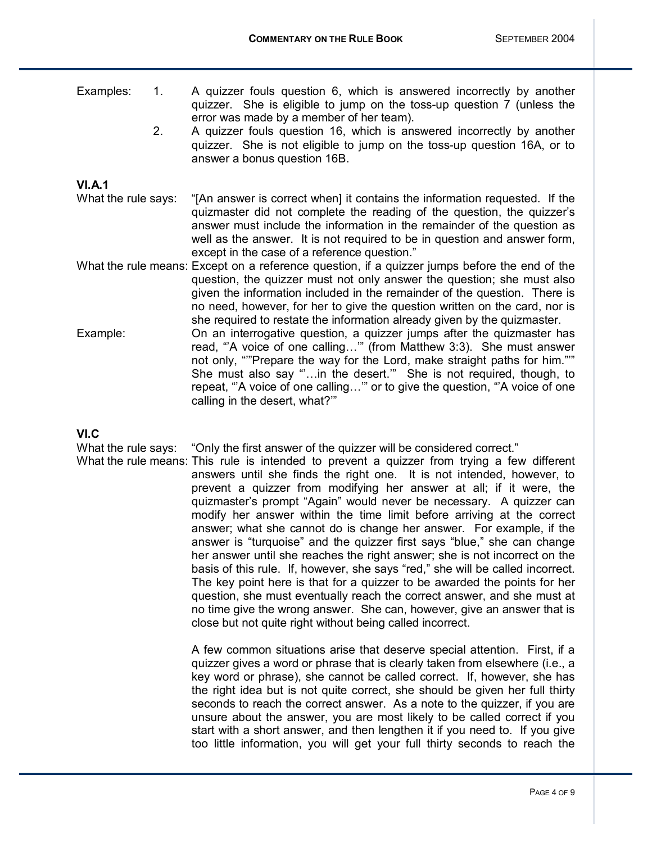- Examples: 1. A quizzer fouls question 6, which is answered incorrectly by another quizzer. She is eligible to jump on the toss-up question 7 (unless the error was made by a member of her team).
	- 2. A quizzer fouls question 16, which is answered incorrectly by another quizzer. She is not eligible to jump on the toss-up question 16A, or to answer a bonus question 16B.

## **VI.A.1**

- What the rule says: "[An answer is correct when] it contains the information requested. If the quizmaster did not complete the reading of the question, the quizzer's answer must include the information in the remainder of the question as well as the answer. It is not required to be in question and answer form, except in the case of a reference question."
- What the rule means: Except on a reference question, if a quizzer jumps before the end of the question, the quizzer must not only answer the question; she must also given the information included in the remainder of the question. There is no need, however, for her to give the question written on the card, nor is she required to restate the information already given by the quizmaster.
- Example: On an interrogative question, a quizzer jumps after the quizmaster has read, "A voice of one calling..." (from Matthew 3:3). She must answer not only, ""Prepare the way for the Lord, make straight paths for him."" She must also say "...in the desert." She is not required, though, to repeat, "A voice of one calling..." or to give the question, "A voice of one calling in the desert, what?"

### **VI.C**

What the rule says: "Only the first answer of the quizzer will be considered correct."

What the rule means: This rule is intended to prevent a quizzer from trying a few different answers until she finds the right one. It is not intended, however, to prevent a quizzer from modifying her answer at all; if it were, the quizmaster's prompt "Again" would never be necessary. A quizzer can modify her answer within the time limit before arriving at the correct answer; what she cannot do is change her answer. For example, if the answer is "turquoise" and the quizzer first says "blue," she can change her answer until she reaches the right answer; she is not incorrect on the basis of this rule. If, however, she says "red," she will be called incorrect. The key point here is that for a quizzer to be awarded the points for her question, she must eventually reach the correct answer, and she must at no time give the wrong answer. She can, however, give an answer that is close but not quite right without being called incorrect.

> A few common situations arise that deserve special attention. First, if a quizzer gives a word or phrase that is clearly taken from elsewhere (i.e., a key word or phrase), she cannot be called correct. If, however, she has the right idea but is not quite correct, she should be given her full thirty seconds to reach the correct answer. As a note to the quizzer, if you are unsure about the answer, you are most likely to be called correct if you start with a short answer, and then lengthen it if you need to. If you give too little information, you will get your full thirty seconds to reach the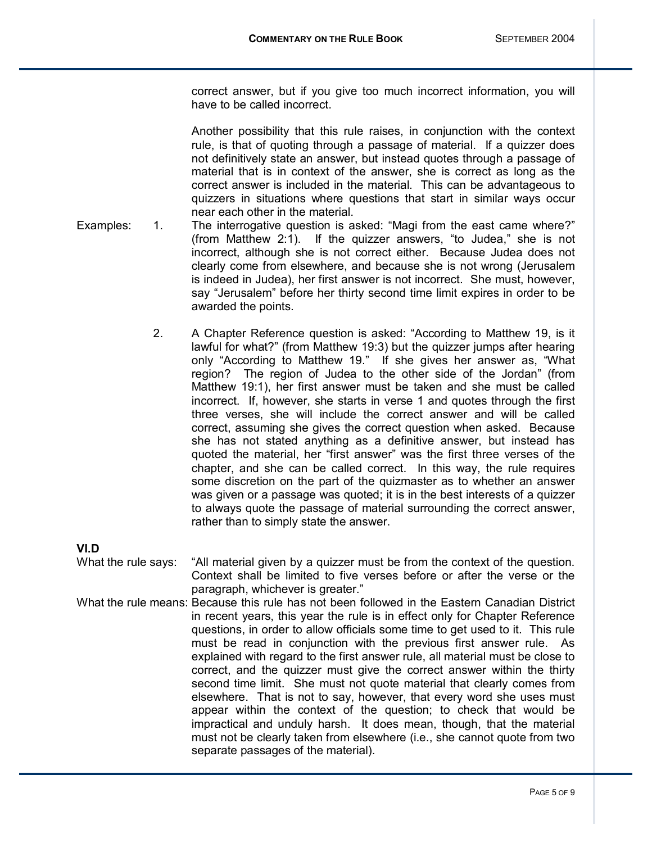correct answer, but if you give too much incorrect information, you will have to be called incorrect.

 Another possibility that this rule raises, in conjunction with the context rule, is that of quoting through a passage of material. If a quizzer does not definitively state an answer, but instead quotes through a passage of material that is in context of the answer, she is correct as long as the correct answer is included in the material. This can be advantageous to quizzers in situations where questions that start in similar ways occur near each other in the material.

- Examples: 1. The interrogative question is asked: "Magi from the east came where?" (from Matthew 2:1). If the quizzer answers, "to Judea," she is not incorrect, although she is not correct either. Because Judea does not clearly come from elsewhere, and because she is not wrong (Jerusalem is indeed in Judea), her first answer is not incorrect. She must, however, say "Jerusalem" before her thirty second time limit expires in order to be awarded the points.
	- 2. A Chapter Reference question is asked: "According to Matthew 19, is it lawful for what?" (from Matthew 19:3) but the quizzer jumps after hearing only "According to Matthew 19." If she gives her answer as, "What region? The region of Judea to the other side of the Jordanî (from Matthew 19:1), her first answer must be taken and she must be called incorrect. If, however, she starts in verse 1 and quotes through the first three verses, she will include the correct answer and will be called correct, assuming she gives the correct question when asked. Because she has not stated anything as a definitive answer, but instead has quoted the material, her "first answer" was the first three verses of the chapter, and she can be called correct. In this way, the rule requires some discretion on the part of the quizmaster as to whether an answer was given or a passage was quoted; it is in the best interests of a quizzer to always quote the passage of material surrounding the correct answer, rather than to simply state the answer.

### **VI.D**

What the rule says: "All material given by a quizzer must be from the context of the question. Context shall be limited to five verses before or after the verse or the paragraph, whichever is greater."

What the rule means: Because this rule has not been followed in the Eastern Canadian District in recent years, this year the rule is in effect only for Chapter Reference questions, in order to allow officials some time to get used to it. This rule must be read in conjunction with the previous first answer rule. As explained with regard to the first answer rule, all material must be close to correct, and the quizzer must give the correct answer within the thirty second time limit. She must not quote material that clearly comes from elsewhere. That is not to say, however, that every word she uses must appear within the context of the question; to check that would be impractical and unduly harsh. It does mean, though, that the material must not be clearly taken from elsewhere (i.e., she cannot quote from two separate passages of the material).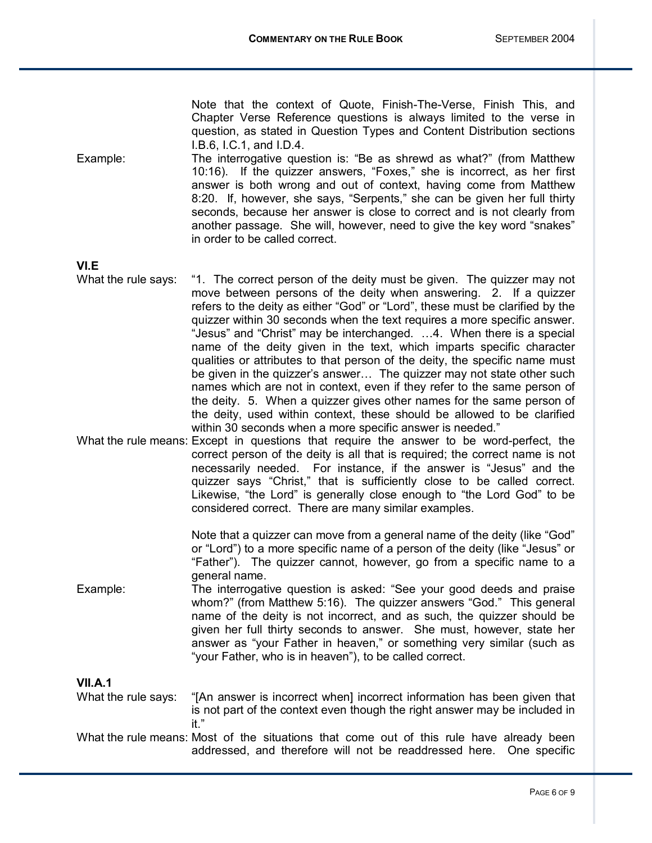Note that the context of Quote, Finish-The-Verse, Finish This, and Chapter Verse Reference questions is always limited to the verse in question, as stated in Question Types and Content Distribution sections I.B.6, I.C.1, and I.D.4.

Example: The interrogative question is: "Be as shrewd as what?" (from Matthew 10:16). If the quizzer answers, "Foxes," she is incorrect, as her first answer is both wrong and out of context, having come from Matthew 8:20. If, however, she says, "Serpents," she can be given her full thirty seconds, because her answer is close to correct and is not clearly from another passage. She will, however, need to give the key word "snakes" in order to be called correct.

**VI.E** 

- What the rule says: "1. The correct person of the deity must be given. The quizzer may not move between persons of the deity when answering. 2. If a quizzer refers to the deity as either "God" or "Lord", these must be clarified by the quizzer within 30 seconds when the text requires a more specific answer. "Jesus" and "Christ" may be interchanged. ...4. When there is a special name of the deity given in the text, which imparts specific character qualities or attributes to that person of the deity, the specific name must be given in the quizzer's answer... The quizzer may not state other such names which are not in context, even if they refer to the same person of the deity. 5. When a quizzer gives other names for the same person of the deity, used within context, these should be allowed to be clarified within 30 seconds when a more specific answer is needed."
- What the rule means: Except in questions that require the answer to be word-perfect, the correct person of the deity is all that is required; the correct name is not necessarily needed. For instance, if the answer is "Jesus" and the quizzer says "Christ," that is sufficiently close to be called correct. Likewise, "the Lord" is generally close enough to "the Lord God" to be considered correct. There are many similar examples.

Note that a quizzer can move from a general name of the deity (like "God" or "Lord") to a more specific name of a person of the deity (like "Jesus" or "Father"). The quizzer cannot, however, go from a specific name to a general name.

Example: The interrogative question is asked: "See your good deeds and praise whom?" (from Matthew 5:16). The quizzer answers "God." This general name of the deity is not incorrect, and as such, the quizzer should be given her full thirty seconds to answer. She must, however, state her answer as "your Father in heaven," or something very similar (such as "your Father, who is in heaven"), to be called correct.

### **VII.A.1**

What the rule says: "[An answer is incorrect when] incorrect information has been given that is not part of the context even though the right answer may be included in it."

What the rule means: Most of the situations that come out of this rule have already been addressed, and therefore will not be readdressed here. One specific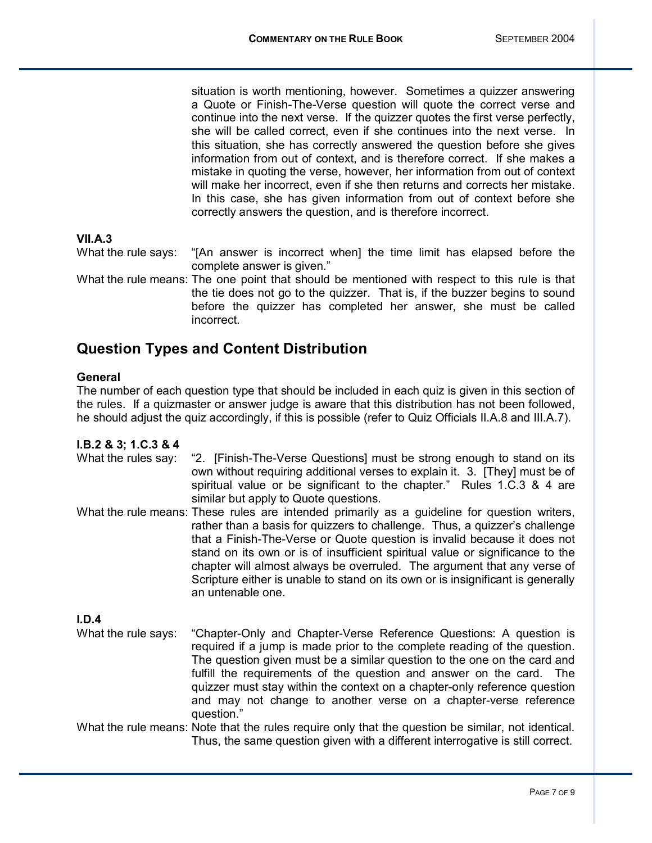situation is worth mentioning, however. Sometimes a quizzer answering a Quote or Finish-The-Verse question will quote the correct verse and continue into the next verse. If the quizzer quotes the first verse perfectly, she will be called correct, even if she continues into the next verse. In this situation, she has correctly answered the question before she gives information from out of context, and is therefore correct. If she makes a mistake in quoting the verse, however, her information from out of context will make her incorrect, even if she then returns and corrects her mistake. In this case, she has given information from out of context before she correctly answers the question, and is therefore incorrect.

## **VII.A.3**

What the rule says: "[An answer is incorrect when] the time limit has elapsed before the complete answer is given."

What the rule means: The one point that should be mentioned with respect to this rule is that the tie does not go to the quizzer. That is, if the buzzer begins to sound before the quizzer has completed her answer, she must be called incorrect.

# **Question Types and Content Distribution**

#### **General**

The number of each question type that should be included in each quiz is given in this section of the rules. If a quizmaster or answer judge is aware that this distribution has not been followed, he should adjust the quiz accordingly, if this is possible (refer to Quiz Officials II.A.8 and III.A.7).

#### **I.B.2 & 3; 1.C.3 & 4**

- What the rules say: "2. [Finish-The-Verse Questions] must be strong enough to stand on its own without requiring additional verses to explain it. 3. [They] must be of spiritual value or be significant to the chapter." Rules 1.C.3 & 4 are similar but apply to Quote questions.
- What the rule means: These rules are intended primarily as a guideline for question writers, rather than a basis for quizzers to challenge. Thus, a quizzer's challenge that a Finish-The-Verse or Quote question is invalid because it does not stand on its own or is of insufficient spiritual value or significance to the chapter will almost always be overruled. The argument that any verse of Scripture either is unable to stand on its own or is insignificant is generally an untenable one.

**I.D.4** 

What the rule says: "Chapter-Only and Chapter-Verse Reference Questions: A question is required if a jump is made prior to the complete reading of the question. The question given must be a similar question to the one on the card and fulfill the requirements of the question and answer on the card. The quizzer must stay within the context on a chapter-only reference question and may not change to another verse on a chapter-verse reference question."

What the rule means: Note that the rules require only that the question be similar, not identical. Thus, the same question given with a different interrogative is still correct.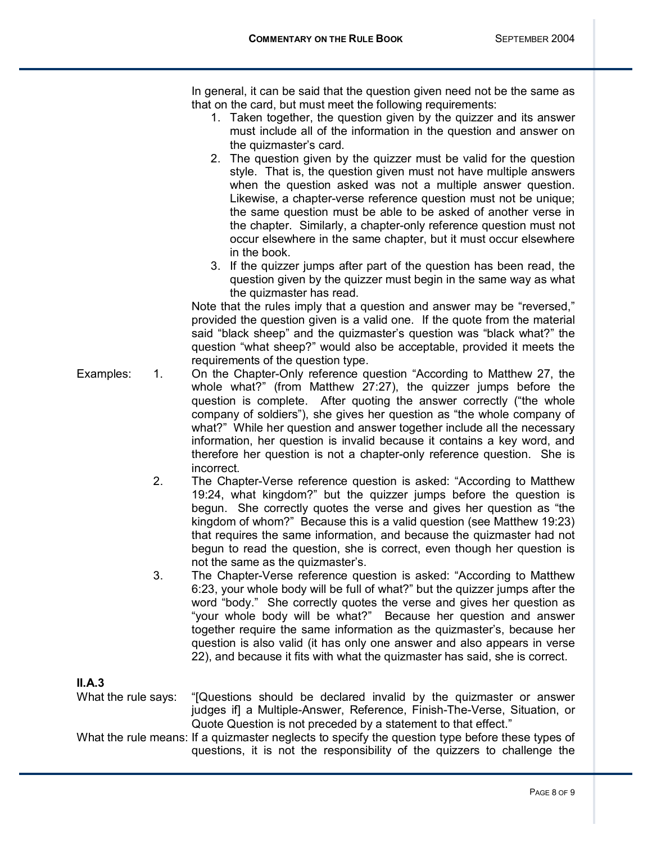In general, it can be said that the question given need not be the same as that on the card, but must meet the following requirements:

- 1. Taken together, the question given by the quizzer and its answer must include all of the information in the question and answer on the quizmaster's card.
- 2. The question given by the quizzer must be valid for the question style. That is, the question given must not have multiple answers when the question asked was not a multiple answer question. Likewise, a chapter-verse reference question must not be unique; the same question must be able to be asked of another verse in the chapter. Similarly, a chapter-only reference question must not occur elsewhere in the same chapter, but it must occur elsewhere in the book.
- 3. If the quizzer jumps after part of the question has been read, the question given by the quizzer must begin in the same way as what the quizmaster has read.

Note that the rules imply that a question and answer may be "reversed," provided the question given is a valid one. If the quote from the material said "black sheep" and the quizmaster's question was "black what?" the question "what sheep?" would also be acceptable, provided it meets the requirements of the question type.

- Examples: 1. On the Chapter-Only reference question "According to Matthew 27, the whole what?" (from Matthew 27:27), the quizzer jumps before the question is complete. After quoting the answer correctly ("the whole company of soldiers"), she gives her question as "the whole company of what?" While her question and answer together include all the necessary information, her question is invalid because it contains a key word, and therefore her question is not a chapter-only reference question. She is incorrect.
	- 2. The Chapter-Verse reference question is asked: "According to Matthew 19:24, what kingdom?î but the quizzer jumps before the question is begun. She correctly quotes the verse and gives her question as "the kingdom of whom?" Because this is a valid question (see Matthew 19:23) that requires the same information, and because the quizmaster had not begun to read the question, she is correct, even though her question is not the same as the quizmaster's.
	- 3. The Chapter-Verse reference question is asked: "According to Matthew 6:23, your whole body will be full of what?î but the quizzer jumps after the word "body." She correctly quotes the verse and gives her question as ìyour whole body will be what?î Because her question and answer together require the same information as the quizmasterís, because her question is also valid (it has only one answer and also appears in verse 22), and because it fits with what the quizmaster has said, she is correct.

## **II.A.3**

What the rule says: "[Questions should be declared invalid by the quizmaster or answer judges if] a Multiple-Answer, Reference, Finish-The-Verse, Situation, or Quote Question is not preceded by a statement to that effect."

What the rule means: If a quizmaster neglects to specify the question type before these types of questions, it is not the responsibility of the quizzers to challenge the